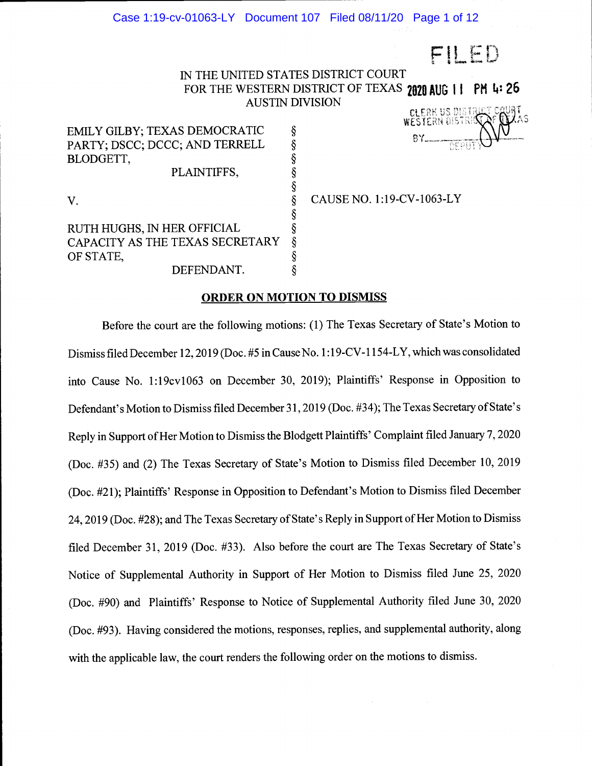$FILED$ 

# IN THE UNITED STATES DISTRICT COURT FOR THE WESTERN DISTRICT OF TEXAS 2020 AUG 11 PM 4: 26<br>AUSTIN DIVISION

EMILY GILBY; TEXAS DEMOCRATIC PARTY; DSCC; DCCC; AND TERRELL BLODGETT, PLAINTIFFS,

V.  $\S$  C

RUTH HUGHS, IN HER OFFICIAL § CAPACITY AS THE TEXAS SECRETARY  $\S$  OF STATE, OF STATE,<br>DEFENDANT. DEFENDANT.

§ CAUSE NO. 1:19-CV-1063-LY

#### ORDER ON MOTION TO DISMISS

§

Before the court are the following motions: (1) The Texas Secretary of State's Motion to Dismiss filed December 12, 2019 (Doc. #5 in Cause No. 1:19-CV-1154-LY, which was consolidated into Cause No. 1:19cv1063 on December 30, 2019); Plaintiffs' Response in Opposition to Defendant's Motion to Dismiss filed December31, 2019 (Doc. #34); The Texas Secretary of State's Reply in Support of Her Motion to Dismiss the Blodgett Plaintiffs' Complaint filed January 7, 2020 (Doc. #35) and (2) The Texas Secretary of State's Motion to Dismiss filed December 10, 2019 (Doc. #21); Plaintiffs' Response in Opposition to Defendant's Motion to Dismiss filed December 24, 2019 (Doc. #28); and The Texas Secretary of State's Reply in Support of Her Motion to Dismiss filed December 31, 2019 (Doc. #33). Also before the court are The Texas Secretary of State's Notice of Supplemental Authority in Support of Her Motion to Dismiss filed June 25, 2020 (Doc. #90) and Plaintiffs' Response to Notice of Supplemental Authority filed June 30, 2020 (Doc. #93). Having considered the motions, responses, replies, and supplemental authority, along with the applicable law, the court renders the following order on the motions to dismiss.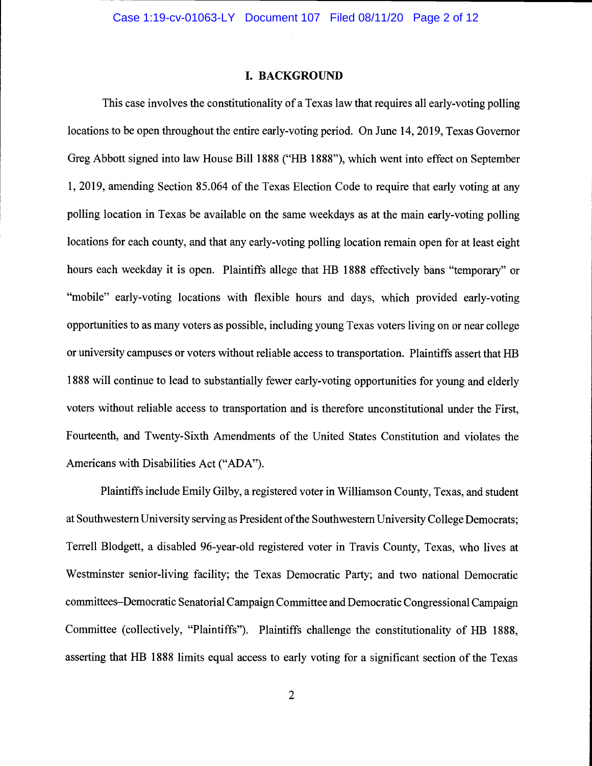#### I. BACKGROUND

This case involves the constitutionality of a Texas law that requires all early-voting polling locations to be open throughout the entire early-voting period. On June 14, 2019, Texas Governor Greg Abbott signed into law House Bill 1888 ("HB 1888"), which went into effect on September 1, 2019, amending Section 85.064 of the Texas Election Code to require that early voting at any polling location in Texas be available on the same weekdays as at the main early-voting polling locations for each county, and that any early-voting polling location remain open for at least eight hours each weekday it is open. Plaintiffs allege that HB 1888 effectively bans "temporary" or "mobile" early-voting locations with flexible hours and days, which provided early-voting opportunities to as many voters as possible, including young Texas voters living on or near college or university campuses or voters without reliable access to transportation. Plaintiffs assert that HB 1888 will continue to lead to substantially fewer early-voting opportunities for young and elderly voters without reliable access to transportation and is therefore unconstitutional under the First, Fourteenth, and Twenty-Sixth Amendments of the United States Constitution and violates the Americans with Disabilities Act ("ADA")

Plaintiffs include Emily Gilby, a registered voter in Williamson County, Texas, and student at Southwestern University serving as President of the Southwestern University College Democrats; Terrell Blodgett, a disabled 96-year-old registered voter in Travis County, Texas, who lives at Westminster senior-living facility; the Texas Democratic Party; and two national Democratic committees–Democratic Senatorial Campaign Committee and Democratic Congressional Campaign Committee (collectively, "Plaintiffs"). Plaintiffs challenge the constitutionality of HB 1888, asserting that HB 1888 limits equal access to early voting for a significant section of the Texas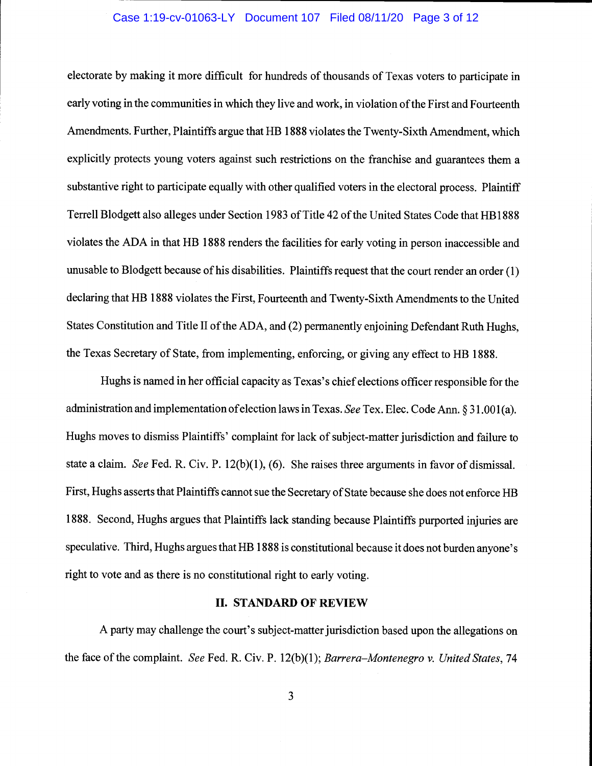## Case 1:19-cv-01063-LY Document 107 Filed 08/11/20 Page 3 of 12

electorate by making it more difficult for hundreds of thousands of Texas voters to participate in early voting in the communities in which they live and work, in violation of the First and Fourteenth Amendments. Further, Plaintiffs argue that HB 1888 violates the Twenty-Sixth Amendment, which explicitly protects young voters against such restrictions on the franchise and guarantees them a substantive right to participate equally with other qualified voters in the electoral process. Plaintiff Terre!! Blodgett also alleges under Section 1983 of Title 42 of the United States Code that HB1888 violates the ADA in that HB 1888 renders the facilities for early voting in person inaccessible and unusable to Blodgett because of his disabilities. Plaintiffs request that the court render an order  $(1)$ declaring that HB 1888 violates the First, Fourteenth and Twenty-Sixth Amendments to the United States Constitution and Title II of the ADA, and (2) permanently enjoining Defendant Ruth Hughs, the Texas Secretary of State, from implementing, enforcing, or giving any effect to HB 1888.

Hughs is named in her official capacity as Texas's chief elections officer responsible for the administration and implementation of election laws in Texas. See Tex. Elec. Code Ann. § 31.001(a). Hughs moves to dismiss Plaintiffs' complaint for lack of subject-matter jurisdiction and failure to state a claim. See Fed. R. Civ. P. 12(b)(1), (6). She raises three arguments in favor of dismissal. First, Hughs asserts that Plaintiffs cannot sue the Secretary of State because she does not enforce HB 1888. Second, Hughs argues that Plaintiffs lack standing because Plaintiffs purported injuries are speculative. Third, Hughs argues that HB 1888 is constitutional because it does not burden anyone's right to vote and as there is no constitutional right to early voting.

#### II. STANDARD OF REVIEW

A party may challenge the court's subject-matter jurisdiction based upon the allegations on the face of the complaint. See Fed. R. Civ. P.  $12(b)(1)$ ; Barrera–Montenegro v. United States, 74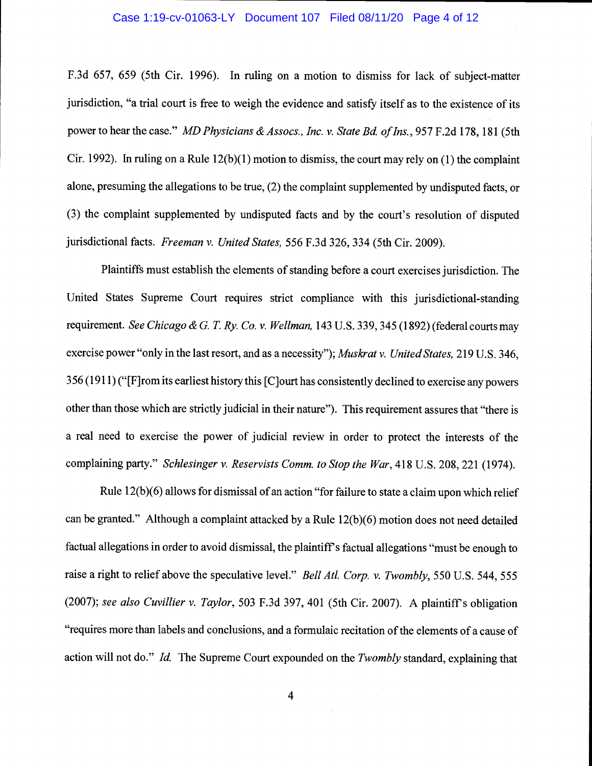## Case 1:19-cv-01063-LY Document 107 Filed 08/11/20 Page 4 of 12

F.3d 657, 659 (5th Cir. 1996). In ruling on a motion to dismiss for lack of subject-matter jurisdiction, "a trial court is free to weigh the evidence and satisfy itself as to the existence of its power to hear the case." MD Physicians & Assocs., Inc. v. State Bd. of Ins., 957 F.2d 178, 181 (5th Cir. 1992). In ruling on a Rule  $12(b)(1)$  motion to dismiss, the court may rely on (1) the complaint alone, presuming the allegations to be true, (2) the complaint supplemented by undisputed facts, or (3) the complaint supplemented by undisputed facts and by the court's resolution of disputed jurisdictional facts. Freeman v. United States, 556 F.3d 326, 334 (5th Cir. 2009).

Plaintiffs must establish the elements of standing before a court exercises jurisdiction. The United States Supreme Court requires strict compliance with this jurisdictional-standing requirement. See Chicago & G. T. Ry. Co. v. Wellman, 143 U.S. 339, 345 (1892) (federal courts may exercise power "only in the last resort, and as a necessity"); Muskrat v. United States, 219 U.S. 346, 356(1911) ("[F]rom its earliest history this [Cjourt has consistently declined to exercise any powers other than those which are strictly judicial in their nature"). This requirement assures that "there is a real need to exercise the power of judicial review in order to protect the interests of the complaining party." Schlesinger v. Reservists Comm. to Stop the War, 418 U.S. 208, 221 (1974).

Rule 12(b)(6) allows for dismissal of an action "for failure to state a claim upon which relief can be granted." Although a complaint attacked by a Rule 12(b)(6) motion does not need detailed factual allegations in order to avoid dismissal, the plaintiff's factual allegations "must be enough to raise a right to relief above the speculative level." Bell Atl. Corp. v. Twombly, 550 U.S. 544, 555 (2007); see also Cuvillier v. Taylor, 503 F.3d 397, 401 (5th Cir. 2007). A plaintiff's obligation "requires more than labels and conclusions, and a formulaic recitation of the elements of a cause of action will not do." Id. The Supreme Court expounded on the Twombly standard, explaining that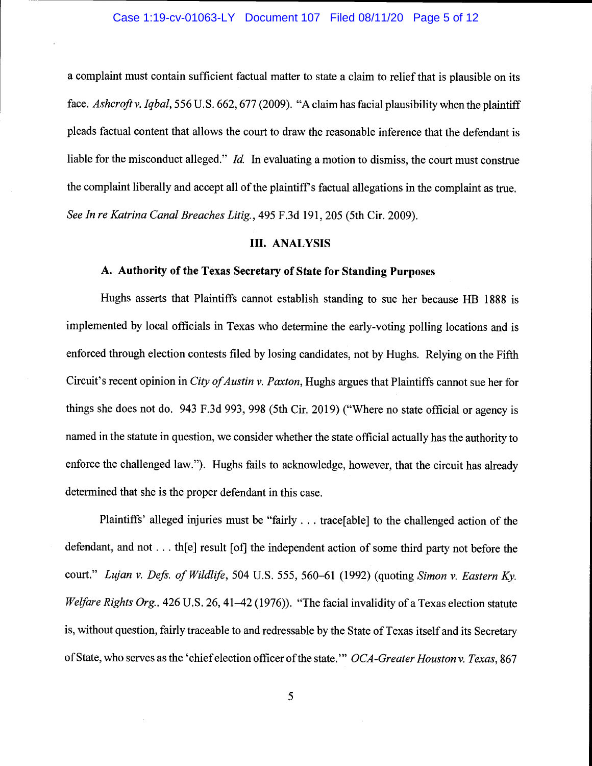a complaint must contain sufficient factual matter to state a claim to relief that is plausible on its face. Ashcroft v. Iqbal, 556 U.S. 662, 677 (2009). "A claim has facial plausibility when the plaintiff pleads factual content that allows the court to draw the reasonable inference that the defendant is liable for the misconduct alleged." Id. In evaluating a motion to dismiss, the court must construe the complaint liberally and accept all of the plaintiff's factual allegations in the complaint as true. See In re Katrina Canal Breaches Litig., 495 F.3d 191, 205 (5th Cir. 2009).

## III. ANALYSIS

## A. Authority of the Texas Secretary of State for Standing Purposes

Hughs asserts that Plaintiffs cannot establish standing to sue her because HB 1888 is implemented by local officials in Texas who determine the early-voting polling locations and is enforced through election contests filed by losing candidates, not by Hughs. Relying on the Fifth Circuit's recent opinion in City of Austin v. Paxton, Hughs argues that Plaintiffs cannot sue her for things she does not do. 943 F.3d 993, 998 (5th Cir. 2019) ("Where no state official or agency is named in the statute in question, we consider whether the state official actually has the authority to enforce the challenged law."). Hughs fails to acknowledge, however, that the circuit has already determined that she is the proper defendant in this case.

Plaintiffs' alleged injuries must be "fairly. . . trace[able] to the challenged action of the defendant, and not... the result [of] the independent action of some third party not before the court." Lujan v. Defs. of Wildlife, 504 U.S. 555, 560-61 (1992) (quoting Simon v. Eastern Ky. Welfare Rights Org., 426 U.S. 26, 41–42 (1976)). "The facial invalidity of a Texas election statute is, without question, fairly traceable to and redressable by the State of Texas itself and its Secretary of State, who serves as the 'chief election officer of the state." OCA-Greater Houston v. Texas, 867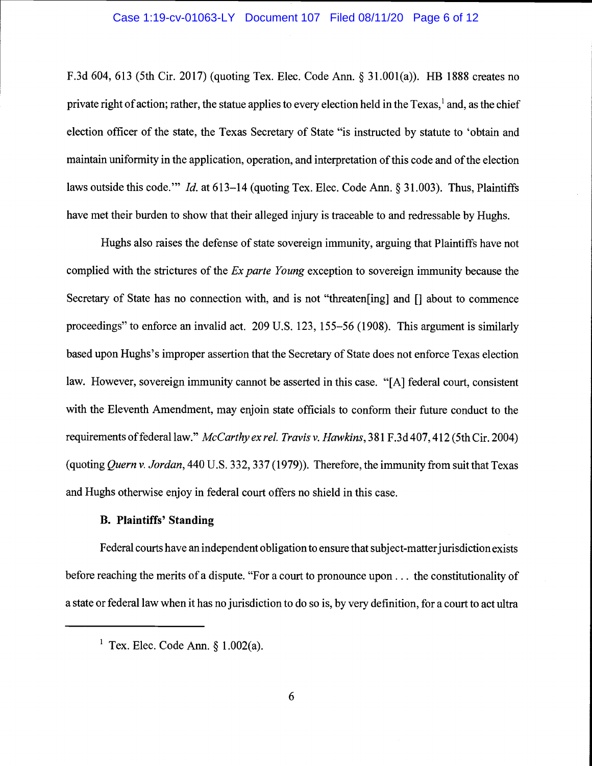## Case 1:19-cv-01063-LY Document 107 Filed 08/11/20 Page 6 of 12

F.3d 604, 613 (5th Cir. 2017) (quoting Tex. Elec. Code Ann. § 31.001(a)). HB 1888 creates no private right of action; rather, the statue applies to every election held in the Texas,<sup>1</sup> and, as the chief election officer of the state, the Texas Secretary of State "is instructed by statute to 'obtain and maintain uniformity in the application, operation, and interpretation of this code and of the election laws outside this code." Id. at  $613-14$  (quoting Tex. Elec. Code Ann. § 31.003). Thus, Plaintiffs have met their burden to show that their alleged injury is traceable to and redressable by Hughs.

Hughs also raises the defense of state sovereign immunity, arguing that Plaintiffs have not complied with the strictures of the *Ex parte Young* exception to sovereign immunity because the Secretary of State has no connection with, and is not "threaten [ing] and [] about to commence proceedings" to enforce an invalid act. 209 U.S. 123, 155-56 (1908). This argument is similarly based upon Hughs's improper assertion that the Secretary of State does not enforce Texas election law. However, sovereign immunity cannot be asserted in this case. "[A] federal court, consistent with the Eleventh Amendment, may enjoin state officials to conform their future conduct to the requirements of federal law." McCarthy ex rel. Travis v. Hawkins, 381 F.3d 407, 412 (5th Cir. 2004) (quoting Quern v. Jordan, 440 U.S. 332, 337(1979)). Therefore, the immunity from suit that Texas and Hughs otherwise enjoy in federal court offers no shield in this case.

# B. Plaintiffs' Standing

Federal courts have an independent obligation to ensure that subject-matter jurisdiction exists before reaching the merits of a dispute. "For a court to pronounce upon... the constitutionality of a state or federal law when it has no jurisdiction to do so is, by very definition, for a court to act ultra

<sup>&</sup>lt;sup>1</sup> Tex. Elec. Code Ann.  $\frac{1}{9}$  1.002(a).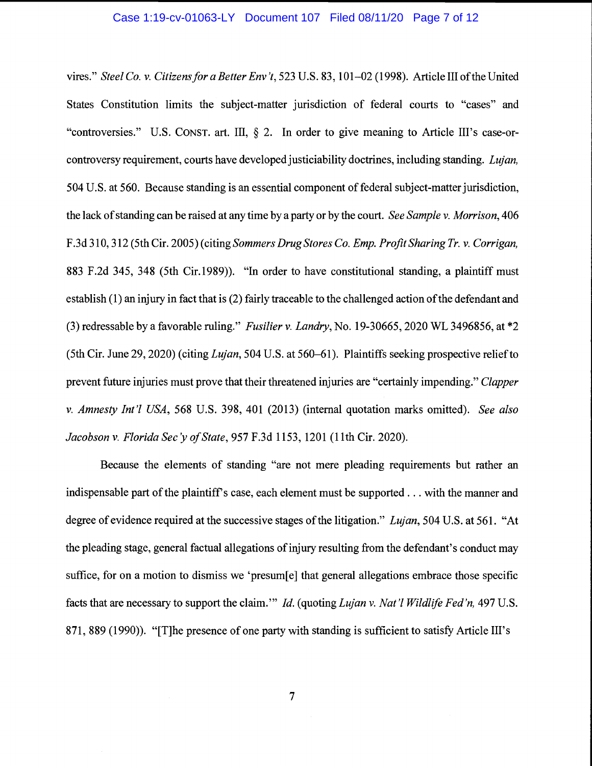## Case 1:19-cv-01063-LY Document 107 Filed 08/11/20 Page 7 of 12

vires." Steel Co. v. Citizens for a Better Env 't, 523 U.S. 83, 101-02 (1998). Article III of the United States Constitution limits the subject-matter jurisdiction of federal courts to "cases" and "controversies." U.S. CONST. art. Ill, § 2. In order to give meaning to Article III's case-orcontroversy requirement, courts have developed justiciability doctrines, including standing. Lujan, 504 U.S. at 560. Because standing is an essential component of federal subject-matter jurisdiction, the lack of standing can be raised at any time by a party or by the court. See Sample v. Morrison, 406 F.3d 310,312(5th Cir. 2005) (citing Sommers Drug Stores Co. Emp. Profit Sharing Tr. v. Corrigan, 883 F.2d 345, 348 (5th Cir.1989)). "In order to have constitutional standing, a plaintiff must establish (1) an injury in fact that is (2) fairly traceable to the challenged action of the defendant and (3) redressable by a favorable ruling." Fusilier v. Landry, No. 19-30665, 2020 WL 3496856, at \*2 (5th Cir. June 29, 2020) (citing *Lujan*, 504 U.S. at 560–61). Plaintiffs seeking prospective relief to prevent future injuries must prove that their threatened injuries are "certainly impending." Clapper v. Amnesty Int'l USA, 568 U.S. 398, 401 (2013) (internal quotation marks omitted). See also Jacobson v. Florida Sec'y of State, 957 F.3d 1153, 1201 (11th Cir. 2020).

Because the elements of standing "are not mere pleading requirements but rather an indispensable part of the plaintiff's case, each element must be supported . . . with the manner and degree of evidence required at the successive stages of the litigation." Lujan, 504 U.S. at 561. "At the pleading stage, general factual allegations of injury resulting from the defendant's conduct may suffice, for on a motion to dismiss we 'presum[e] that general allegations embrace those specific facts that are necessary to support the claim." Id. (quoting Lujan v. Nat'l Wildlife Fed'n, 497 U.S. 871, 889 (1990)). "[T]he presence of one party with standing is sufficient to satisfy Article III's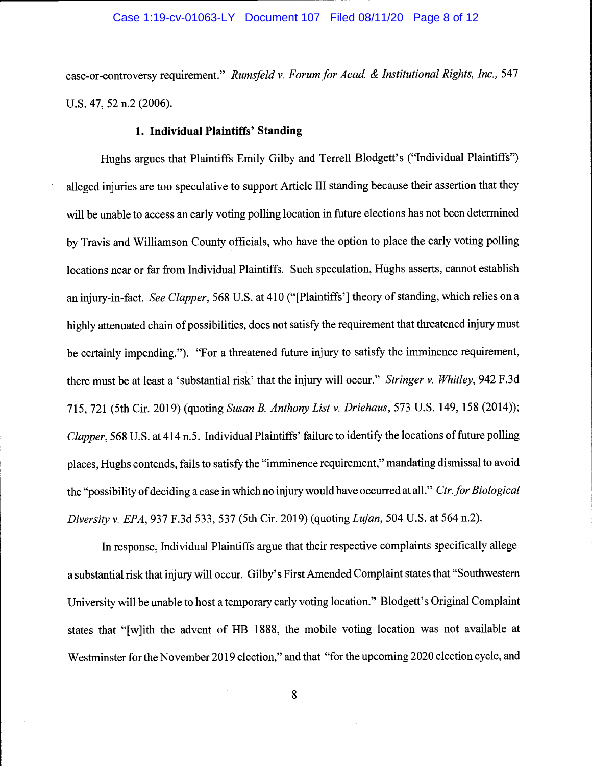## Case 1:19-cv-01063-LY Document 107 Filed 08/11/20 Page 8 of 12

case-or-controversy requirement." Rumsfeld v. Forum for Acad. & Institutional Rights, Inc., 547 U.s. 47, 52 n.2 (2006).

## 1. Individual Plaintiffs' Standing

Hughs argues that Plaintiffs Emily Gilby and Terrell Blodgett's ("Individual Plaintiffs") alleged injuries are too speculative to support Article III standing because their assertion that they will be unable to access an early voting polling location in future elections has not been determined by Travis and Williamson County officials, who have the option to place the early voting polling locations near or far from Individual Plaintiffs. Such speculation, Hughs asserts, cannot establish an injury-in-fact. See Clapper, 568 U.S. at 410 ("[Plaintiffs'] theory of standing, which relies on a highly attenuated chain of possibilities, does not satisfy the requirement that threatened injury must be certainly impending."). "For a threatened future injury to satisfy the imminence requirement, there must be at least a 'substantial risk' that the injury will occur." Stringer v. Whitley, 942 F.3d 715, 721 (5th Cir. 2019) (quoting Susan B. Anthony List v. Driehaus, 573 U.S. 149, 158 (2014)); Clapper, 568 U.S. at 414 n.5. Individual Plaintiffs' failure to identify the locations of future polling places, Hughs contends, fails to satisfy the "imminence requirement," mandating dismissal to avoid the "possibility of deciding a case in which no injury would have occurred at all." Ctr. for Biological Diversity v. EPA, 937 F.3d 533, 537 (5th Cir. 2019) (quoting Lujan, 504 U.S. at 564 n.2).

In response, Individual Plaintiffs argue that their respective complaints specifically allege a substantial risk that injury will occur. Gilby's First Amended Complaint states that "Southwestern University will be unable to host a temporary early voting location." Blodgett's Original Complaint states that "[w]ith the advent of HB 1888, the mobile voting location was not available at Westminster for the November 2019 election," and that "for the upcoming 2020 election cycle, and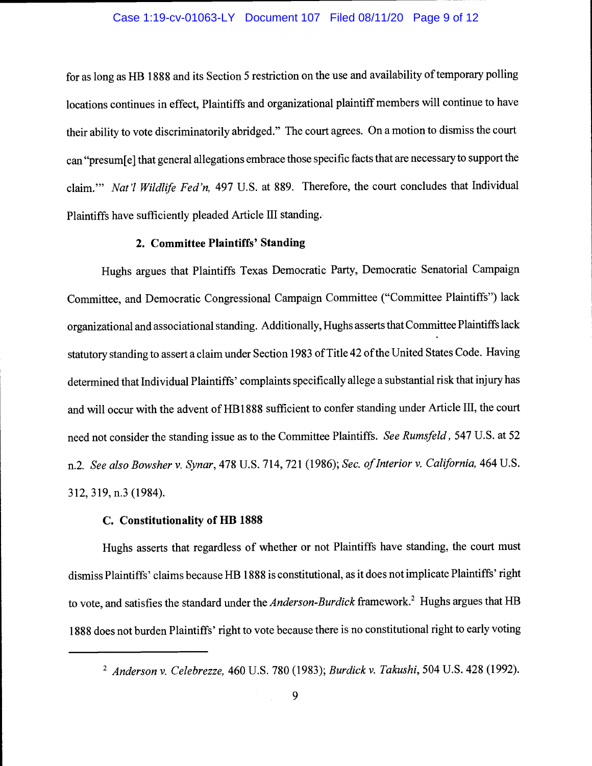## Case 1:19-cv-01063-LY Document 107 Filed 08/11/20 Page 9 of 12

for as long as HB 1888 and its Section 5 restriction on the use and availability of temporary polling locations continues in effect, Plaintiffs and organizational plaintiff members will continue to have their ability to vote discriminatorily abridged." The court agrees. On a motion to dismiss the court can "presum[e] that general allegations embrace those specific facts that are necessary to support the claim." Nat'l Wildlife Fed'n, 497 U.S. at 889. Therefore, the court concludes that Individual Plaintiffs have sufficiently pleaded Article III standing.

# 2. Committee Plaintiffs' Standing

Hughs argues that Plaintiffs Texas Democratic Party, Democratic Senatorial Campaign Committee, and Democratic Congressional Campaign Committee ("Committee Plaintiffs") lack organizational and associational standing. Additionally, Hughs asserts that Committee Plaintiffs lack statutory standing to assert a claim under Section 1983 of Title 42 of the United States Code. Having determined that Individual Plaintiffs' complaints specifically allege a substantial risk that injury has and will occur with the advent of HB1888 sufficient to confer standing under Article III, the court need not consider the standing issue as to the Committee Plaintiffs. See Rumsfeld, 547 U.S. at 52 n.2. See also Bowsher v. Synar, 478 U.S. 714, 721 (1986); Sec. of Interior v. California, 464 U.S. 312, 319, n.3 (1984).

# C. Constitutionality of HB 1888

Hughs asserts that regardless of whether or not Plaintiffs have standing, the court must dismiss Plaintiffs' claims because HB 1888 is constitutional, as it does not implicate Plaintiffs' right to vote, and satisfies the standard under the *Anderson-Burdick* framework.<sup>2</sup> Hughs argues that HB 1888 does not burden Plaintiffs' right to vote because there is no constitutional right to early voting

 $2$  Anderson v. Celebrezze, 460 U.S. 780 (1983); Burdick v. Takushi, 504 U.S. 428 (1992).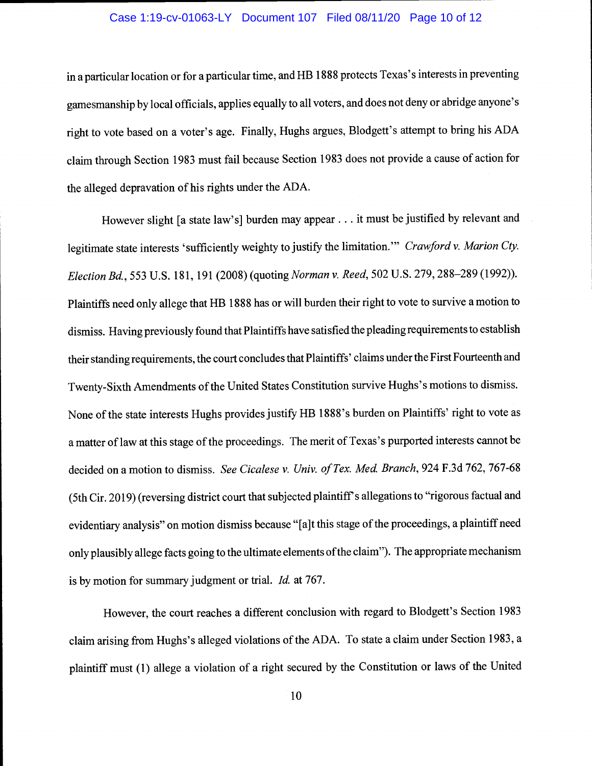## Case 1:19-cv-01063-LY Document 107 Filed 08/11/20 Page 10 of 12

in a particular location or for a particular time, and HB 1888 protects Texas's interests in preventing gamesmanship by local officials, applies equally to all voters, and does not deny or abridge anyone's right to vote based on a voter's age. Finally, Hughs argues, Blodgett's attempt to bring his ADA claim through Section 1983 must fail because Section 1983 does not provide a cause of action for the alleged depravation of his rights under the ADA.

However slight [a state law's] burden may appear. . . it must be justified by relevant and legitimate state interests 'sufficiently weighty to justify the limitation." Crawford v. Marion Cty. ElectionBd., 553 U.S. 181, 191 (2008) (quoting Norman v. Reed, 502 U.S. 279,288-289(1992)). Plaintiffs need only allege that HB 1888 has or will burden their right to vote to survive a motion to dismiss. Having previously found that Plaintiffs have satisfied the pleading requirements to establish their standing requirements, the court concludes that Plaintiffs' claims under the First Fourteenth and Twenty-Sixth Amendments of the United States Constitution survive Hughs's motions to dismiss. None of the state interests Hughs provides justify HB 1888's burden on Plaintiffs' right to vote as a matter of law at this stage of the proceedings. The merit of Texas's purported interests cannot be decided on a motion to dismiss. See Cicalese v. Univ. of Tex. Med. Branch, 924 F.3d 762, 767-68 (5th Cir. 2019) (reversing district court that subjected plaintiff's allegations to "rigorous factual and evidentiary analysis" on motion dismiss because "[a]t this stage of the proceedings, a plaintiff need only plausibly allege facts going to the ultimate elements of the claim"). The appropriate mechanism is by motion for summary judgment or trial. Id. at 767.

However, the court reaches a different conclusion with regard to Blodgett's Section 1983 claim arising from Hughs's alleged violations of the ADA. To state a claim under Section 1983, a plaintiff must (1) allege a violation of a right secured by the Constitution or laws of the United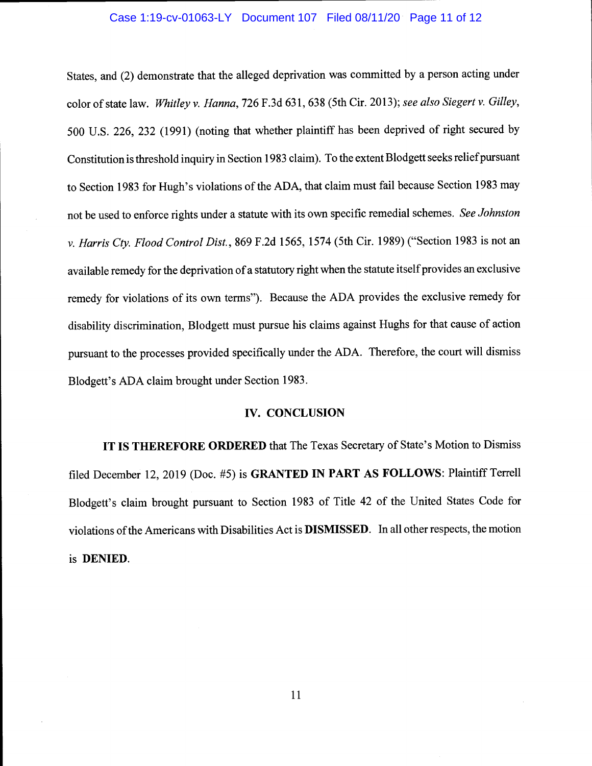## Case 1:19-cv-01063-LY Document 107 Filed 08/11/20 Page 11 of 12

States, and (2) demonstrate that the alleged deprivation was committed by a person acting under color of state law. Whitley v. Hanna, 726 F.3d 631, 638 (5th Cir. 2013); see also Siegert v. Gilley, 500 U.S. 226, 232 (1991) (noting that whether plaintiff has been deprived of right secured by Constitution is threshold inquiry in Section 1983 claim). To the extent Blodgett seeks reliefpursuant to Section 1983 for Hugh's violations of the ADA, that claim must fail because Section 1983 may not be used to enforce rights under a statute with its own specific remedial schemes. See Johnston v. Harris Cty. Flood Control Dist., 869 F.2d 1565, 1574 (5th Cir. 1989) ("Section 1983 is not an available remedy for the deprivation of a statutory right when the statute itself provides an exclusive remedy for violations of its own terms"). Because the ADA provides the exclusive remedy for disability discrimination, Blodgett must pursue his claims against Hughs for that cause of action pursuant to the processes provided specifically under the ADA. Therefore, the court will dismiss Blodgett's ADA claim brought under Section 1983.

#### IV. CONCLUSION

IT IS THEREFORE ORDERED that The Texas Secretary of State's Motion to Dismiss filed December 12, 2019 (Doc. #5) is GRANTED IN PART AS FOLLOWS: Plaintiff Terrell Blodgett's claim brought pursuant to Section 1983 of Title 42 of the United States Code for violations of the Americans with Disabilities Act is DISMISSED. In all other respects, the motion is DENIED.